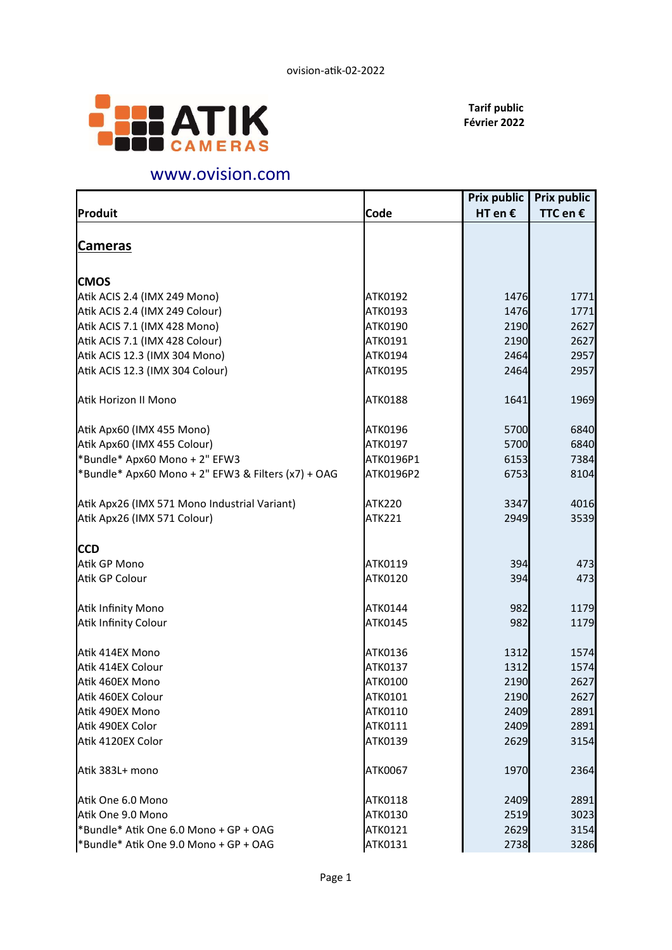

Tarif public Février 2022

## www.ovision.com

|                | <b>Prix public</b>                                                                                                                          | <b>Prix public</b>                                                                                                                         |
|----------------|---------------------------------------------------------------------------------------------------------------------------------------------|--------------------------------------------------------------------------------------------------------------------------------------------|
| Code           | HT en $\epsilon$                                                                                                                            | TTC en €                                                                                                                                   |
|                |                                                                                                                                             |                                                                                                                                            |
|                |                                                                                                                                             |                                                                                                                                            |
|                |                                                                                                                                             |                                                                                                                                            |
|                |                                                                                                                                             |                                                                                                                                            |
|                |                                                                                                                                             | 1771                                                                                                                                       |
|                |                                                                                                                                             | 1771                                                                                                                                       |
|                |                                                                                                                                             | 2627                                                                                                                                       |
|                |                                                                                                                                             | 2627                                                                                                                                       |
|                |                                                                                                                                             | 2957                                                                                                                                       |
|                |                                                                                                                                             | 2957                                                                                                                                       |
| <b>ATK0188</b> | 1641                                                                                                                                        | 1969                                                                                                                                       |
| ATK0196        |                                                                                                                                             | 6840                                                                                                                                       |
| ATK0197        |                                                                                                                                             | 6840                                                                                                                                       |
| ATK0196P1      |                                                                                                                                             | 7384                                                                                                                                       |
| ATK0196P2      | 6753                                                                                                                                        | 8104                                                                                                                                       |
| <b>ATK220</b>  | 3347                                                                                                                                        | 4016                                                                                                                                       |
| <b>ATK221</b>  | 2949                                                                                                                                        | 3539                                                                                                                                       |
|                |                                                                                                                                             |                                                                                                                                            |
|                |                                                                                                                                             |                                                                                                                                            |
|                |                                                                                                                                             | 473                                                                                                                                        |
|                |                                                                                                                                             | 473                                                                                                                                        |
| ATK0144        | 982                                                                                                                                         | 1179                                                                                                                                       |
| ATK0145        | 982                                                                                                                                         | 1179                                                                                                                                       |
| ATK0136        | 1312                                                                                                                                        | 1574                                                                                                                                       |
| ATK0137        | 1312                                                                                                                                        | 1574                                                                                                                                       |
| ATK0100        | 2190                                                                                                                                        | 2627                                                                                                                                       |
|                |                                                                                                                                             | 2627                                                                                                                                       |
| ATK0110        |                                                                                                                                             | 2891                                                                                                                                       |
|                |                                                                                                                                             | 2891                                                                                                                                       |
| ATK0139        | 2629                                                                                                                                        | 3154                                                                                                                                       |
| <b>ATK0067</b> | 1970                                                                                                                                        | 2364                                                                                                                                       |
| ATK0118        |                                                                                                                                             | 2891                                                                                                                                       |
|                |                                                                                                                                             | 3023                                                                                                                                       |
|                |                                                                                                                                             | 3154                                                                                                                                       |
|                |                                                                                                                                             | 3286                                                                                                                                       |
|                | ATK0192<br>ATK0193<br>ATK0190<br>ATK0191<br>ATK0194<br>ATK0195<br>ATK0119<br>ATK0120<br>ATK0101<br>ATK0111<br>ATK0130<br>ATK0121<br>ATK0131 | 1476<br>1476<br>2190<br>2190<br>2464<br>2464<br>5700<br>5700<br>6153<br>394<br>394<br>2190<br>2409<br>2409<br>2409<br>2519<br>2629<br>2738 |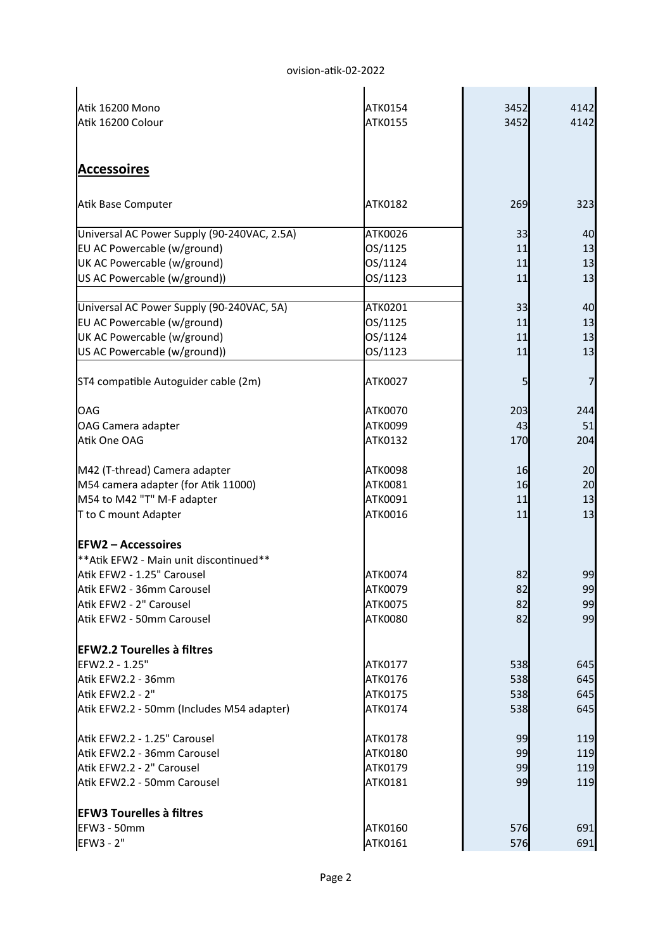| 4142 | 3452                                    | ATK0154                                                                                        | Atik 16200 Mono                                                                                                                                                                                                                                                                                               |
|------|-----------------------------------------|------------------------------------------------------------------------------------------------|---------------------------------------------------------------------------------------------------------------------------------------------------------------------------------------------------------------------------------------------------------------------------------------------------------------|
| 4142 | 3452                                    | ATK0155                                                                                        | Atik 16200 Colour                                                                                                                                                                                                                                                                                             |
|      |                                         |                                                                                                |                                                                                                                                                                                                                                                                                                               |
|      |                                         |                                                                                                |                                                                                                                                                                                                                                                                                                               |
|      |                                         |                                                                                                | <b>Accessoires</b>                                                                                                                                                                                                                                                                                            |
| 323  | 269                                     | ATK0182                                                                                        | Atik Base Computer                                                                                                                                                                                                                                                                                            |
| 40   | 33                                      | ATK0026                                                                                        | Universal AC Power Supply (90-240VAC, 2.5A)                                                                                                                                                                                                                                                                   |
| 13   | 11                                      | OS/1125                                                                                        | EU AC Powercable (w/ground)                                                                                                                                                                                                                                                                                   |
| 13   | 11                                      | OS/1124                                                                                        | UK AC Powercable (w/ground)                                                                                                                                                                                                                                                                                   |
| 13   | 11                                      | OS/1123                                                                                        | US AC Powercable (w/ground))                                                                                                                                                                                                                                                                                  |
| 40   | 33                                      | ATK0201                                                                                        | Universal AC Power Supply (90-240VAC, 5A)                                                                                                                                                                                                                                                                     |
| 13   | 11                                      | OS/1125                                                                                        | EU AC Powercable (w/ground)                                                                                                                                                                                                                                                                                   |
| 13   | 11                                      | OS/1124                                                                                        | UK AC Powercable (w/ground)                                                                                                                                                                                                                                                                                   |
| 13   | 11                                      | OS/1123                                                                                        | US AC Powercable (w/ground))                                                                                                                                                                                                                                                                                  |
|      |                                         |                                                                                                |                                                                                                                                                                                                                                                                                                               |
|      | 5                                       | ATK0027                                                                                        | ST4 compatible Autoguider cable (2m)                                                                                                                                                                                                                                                                          |
| 244  | 203                                     | ATK0070                                                                                        | OAG                                                                                                                                                                                                                                                                                                           |
| 51   | 43                                      | ATK0099                                                                                        | OAG Camera adapter                                                                                                                                                                                                                                                                                            |
| 204  | 170                                     | ATK0132                                                                                        | Atik One OAG                                                                                                                                                                                                                                                                                                  |
| 20   |                                         |                                                                                                |                                                                                                                                                                                                                                                                                                               |
| 20   |                                         |                                                                                                |                                                                                                                                                                                                                                                                                                               |
| 13   |                                         |                                                                                                |                                                                                                                                                                                                                                                                                                               |
| 13   | 11                                      | ATK0016                                                                                        | T to C mount Adapter                                                                                                                                                                                                                                                                                          |
|      |                                         |                                                                                                |                                                                                                                                                                                                                                                                                                               |
|      |                                         |                                                                                                |                                                                                                                                                                                                                                                                                                               |
| 99   |                                         |                                                                                                |                                                                                                                                                                                                                                                                                                               |
| 99   |                                         |                                                                                                |                                                                                                                                                                                                                                                                                                               |
| 99   |                                         |                                                                                                | Atik EFW2 - 2" Carousel                                                                                                                                                                                                                                                                                       |
| 99   | 82                                      | <b>ATK0080</b>                                                                                 | Atik EFW2 - 50mm Carousel                                                                                                                                                                                                                                                                                     |
|      |                                         |                                                                                                |                                                                                                                                                                                                                                                                                                               |
| 645  | 538                                     | ATK0177                                                                                        | EFW2.2 - 1.25"                                                                                                                                                                                                                                                                                                |
| 645  | 538                                     | ATK0176                                                                                        | Atik EFW2.2 - 36mm                                                                                                                                                                                                                                                                                            |
| 645  | 538                                     | ATK0175                                                                                        | Atik EFW2.2 - 2"                                                                                                                                                                                                                                                                                              |
| 645  | 538                                     | ATK0174                                                                                        | Atik EFW2.2 - 50mm (Includes M54 adapter)                                                                                                                                                                                                                                                                     |
| 119  | 99                                      | <b>ATK0178</b>                                                                                 | Atik EFW2.2 - 1.25" Carousel                                                                                                                                                                                                                                                                                  |
| 119  | 99                                      | ATK0180                                                                                        | Atik EFW2.2 - 36mm Carousel                                                                                                                                                                                                                                                                                   |
| 119  | 99                                      | ATK0179                                                                                        | Atik EFW2.2 - 2" Carousel                                                                                                                                                                                                                                                                                     |
| 119  | 99                                      | ATK0181                                                                                        | Atik EFW2.2 - 50mm Carousel                                                                                                                                                                                                                                                                                   |
|      |                                         |                                                                                                |                                                                                                                                                                                                                                                                                                               |
| 691  |                                         |                                                                                                | EFW3 - 50mm                                                                                                                                                                                                                                                                                                   |
|      | 576                                     | ATK0161                                                                                        | EFW3 - 2"                                                                                                                                                                                                                                                                                                     |
|      | 16<br>16<br>11<br>82<br>82<br>82<br>576 | <b>ATK0098</b><br>ATK0081<br>ATK0091<br>ATK0074<br><b>ATK0079</b><br><b>ATK0075</b><br>ATK0160 | M42 (T-thread) Camera adapter<br>M54 camera adapter (for Atik 11000)<br>M54 to M42 "T" M-F adapter<br><b>EFW2 - Accessoires</b><br>** Atik EFW2 - Main unit discontinued**<br>Atik EFW2 - 1.25" Carousel<br>Atik EFW2 - 36mm Carousel<br><b>EFW2.2 Tourelles à filtres</b><br><b>EFW3 Tourelles à filtres</b> |